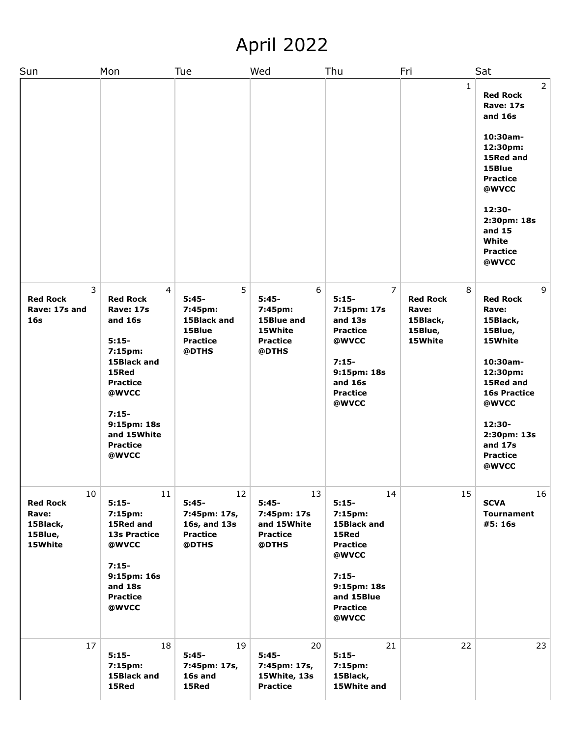## April 2022

| Sun                                                              | Mon                                                                                                                                                                                                | Tue                                                                          | Wed                                                                          | Thu                                                                                                                                              | Fri                                                             | Sat                                                                                                                                                                                                                 |
|------------------------------------------------------------------|----------------------------------------------------------------------------------------------------------------------------------------------------------------------------------------------------|------------------------------------------------------------------------------|------------------------------------------------------------------------------|--------------------------------------------------------------------------------------------------------------------------------------------------|-----------------------------------------------------------------|---------------------------------------------------------------------------------------------------------------------------------------------------------------------------------------------------------------------|
|                                                                  |                                                                                                                                                                                                    |                                                                              |                                                                              |                                                                                                                                                  | $\mathbf{1}$                                                    | $\overline{2}$<br><b>Red Rock</b><br><b>Rave: 17s</b><br>and 16s<br>10:30am-<br>12:30pm:<br>15Red and<br>15Blue<br><b>Practice</b><br>@WVCC<br>12:30-<br>2:30pm: 18s<br>and 15<br>White<br><b>Practice</b><br>@WVCC |
| 3<br><b>Red Rock</b><br>Rave: 17s and<br>16 <sub>s</sub>         | 4<br><b>Red Rock</b><br><b>Rave: 17s</b><br>and 16s<br>$5:15-$<br>7:15pm:<br>15Black and<br>15Red<br><b>Practice</b><br>@WVCC<br>$7:15-$<br>9:15pm: 18s<br>and 15White<br><b>Practice</b><br>@WVCC | 5<br>$5:45-$<br>7:45pm:<br>15Black and<br>15Blue<br><b>Practice</b><br>@DTHS | 6<br>$5:45-$<br>7:45pm:<br>15Blue and<br>15White<br><b>Practice</b><br>@DTHS | $\overline{7}$<br>$5:15-$<br>7:15pm: 17s<br>and 13s<br><b>Practice</b><br>@WVCC<br>$7:15-$<br>9:15pm: 18s<br>and 16s<br><b>Practice</b><br>@WVCC | 8<br><b>Red Rock</b><br>Rave:<br>15Black,<br>15Blue,<br>15White | 9<br><b>Red Rock</b><br>Rave:<br>15Black,<br>15Blue,<br>15White<br>10:30am-<br>12:30pm:<br>15Red and<br><b>16s Practice</b><br>@WVCC<br>12:30-<br>2:30pm: 13s<br>and 17s<br><b>Practice</b><br>@WVCC                |
| 10<br><b>Red Rock</b><br>Rave:<br>15Black,<br>15Blue,<br>15White | 11<br>$5:15-$<br>7:15pm:<br>15Red and<br><b>13s Practice</b><br>@WVCC<br>$7:15-$<br>9:15pm: 16s<br>and 18s<br><b>Practice</b><br>@WVCC                                                             | 12<br>$5:45-$<br>7:45pm: 17s,<br>16s, and 13s<br><b>Practice</b><br>@DTHS    | 13<br>$5:45-$<br>7:45pm: 17s<br>and 15White<br><b>Practice</b><br>@DTHS      | 14<br>$5:15-$<br>7:15pm:<br>15Black and<br>15Red<br><b>Practice</b><br>@WVCC<br>$7:15-$<br>9:15pm: 18s<br>and 15Blue<br><b>Practice</b><br>@WVCC | 15                                                              | 16<br><b>SCVA</b><br>Tournament<br>#5: 16s                                                                                                                                                                          |
| 17                                                               | 18<br>$5:15-$<br>7:15pm:<br>15Black and<br>15Red                                                                                                                                                   | 19<br>$5:45-$<br>7:45pm: 17s,<br>16s and<br>15Red                            | 20<br>$5:45-$<br>7:45pm: 17s,<br>15White, 13s<br><b>Practice</b>             | 21<br>$5:15-$<br>7:15pm:<br>15Black,<br>15White and                                                                                              | 22                                                              | 23                                                                                                                                                                                                                  |